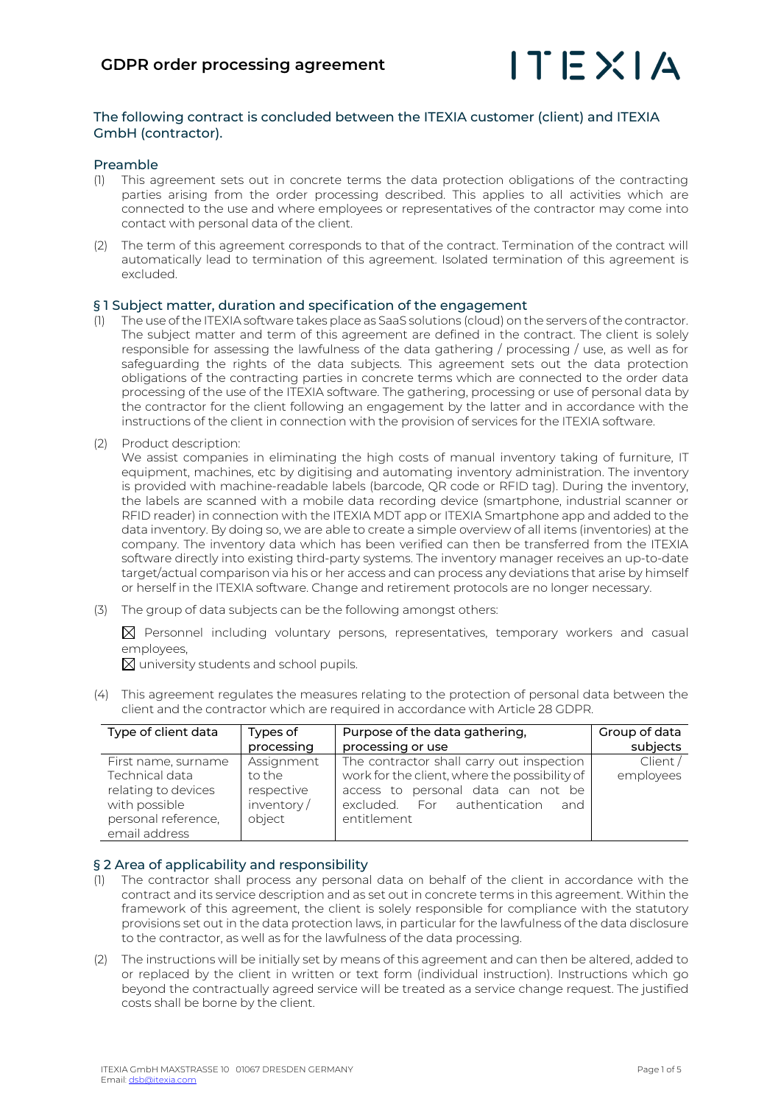

# The following contract is concluded between the ITEXIA customer (client) and ITEXIA GmbH (contractor).

# Preamble

- (1) This agreement sets out in concrete terms the data protection obligations of the contracting parties arising from the order processing described. This applies to all activities which are connected to the use and where employees or representatives of the contractor may come into contact with personal data of the client.
- (2) The term of this agreement corresponds to that of the contract. Termination of the contract will automatically lead to termination of this agreement. Isolated termination of this agreement is excluded.

# § 1 Subject matter, duration and specification of the engagement

- The use of the ITEXIA software takes place as SaaS solutions (cloud) on the servers of the contractor. The subject matter and term of this agreement are defined in the contract. The client is solely responsible for assessing the lawfulness of the data gathering / processing / use, as well as for safeguarding the rights of the data subjects. This agreement sets out the data protection obligations of the contracting parties in concrete terms which are connected to the order data processing of the use of the ITEXIA software. The gathering, processing or use of personal data by the contractor for the client following an engagement by the latter and in accordance with the instructions of the client in connection with the provision of services for the ITEXIA software.
- (2) Product description:

We assist companies in eliminating the high costs of manual inventory taking of furniture, IT equipment, machines, etc by digitising and automating inventory administration. The inventory is provided with machine-readable labels (barcode, QR code or RFID tag). During the inventory, the labels are scanned with a mobile data recording device (smartphone, industrial scanner or RFID reader) in connection with the ITEXIA MDT app or ITEXIA Smartphone app and added to the data inventory. By doing so, we are able to create a simple overview of all items (inventories) at the company. The inventory data which has been verified can then be transferred from the ITEXIA software directly into existing third-party systems. The inventory manager receives an up-to-date target/actual comparison via his or her access and can process any deviations that arise by himself or herself in the ITEXIA software. Change and retirement protocols are no longer necessary.

(3) The group of data subjects can be the following amongst others:

 $\boxtimes$  Personnel including voluntary persons, representatives, temporary workers and casual employees,

 $\boxtimes$  university students and school pupils.

(4) This agreement regulates the measures relating to the protection of personal data between the client and the contractor which are required in accordance with Article 28 GDPR.

| Type of client data | Types of   | Purpose of the data gathering,                | Group of data |
|---------------------|------------|-----------------------------------------------|---------------|
|                     | processing | processing or use                             | subjects      |
| First name, surname | Assignment | The contractor shall carry out inspection     | Client/       |
| Technical data      | to the     | work for the client, where the possibility of | employees     |
| relating to devices | respective | access to personal data can not be            |               |
| with possible       | inventory/ | excluded. For authentication<br>and           |               |
| personal reference, | object     | entitlement                                   |               |
| email address       |            |                                               |               |

# § 2 Area of applicability and responsibility

- (1) The contractor shall process any personal data on behalf of the client in accordance with the contract and its service description and as set out in concrete terms in this agreement. Within the framework of this agreement, the client is solely responsible for compliance with the statutory provisions set out in the data protection laws, in particular for the lawfulness of the data disclosure to the contractor, as well as for the lawfulness of the data processing.
- (2) The instructions will be initially set by means of this agreement and can then be altered, added to or replaced by the client in written or text form (individual instruction). Instructions which go beyond the contractually agreed service will be treated as a service change request. The justified costs shall be borne by the client.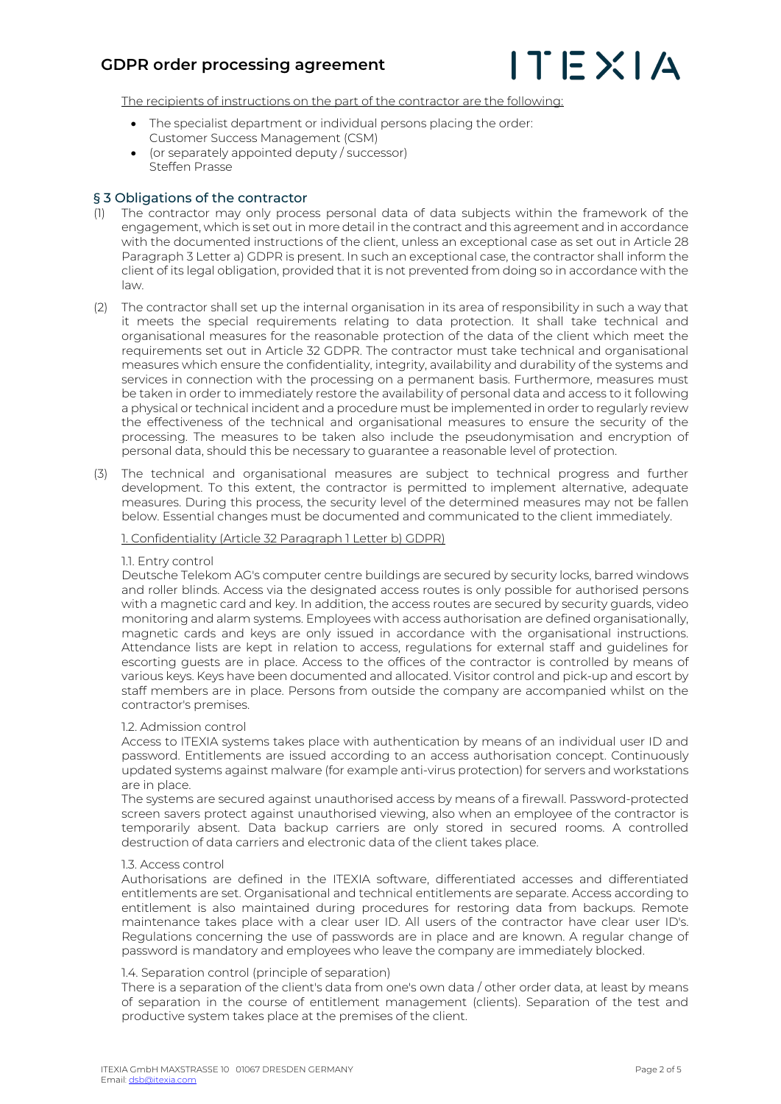# **GDPR order processing agreement**



The recipients of instructions on the part of the contractor are the following:

- The specialist department or individual persons placing the order: Customer Success Management (CSM)
- (or separately appointed deputy / successor) Steffen Prasse

# § 3 Obligations of the contractor

- (1) The contractor may only process personal data of data subjects within the framework of the engagement, which is set out in more detail in the contract and this agreement and in accordance with the documented instructions of the client, unless an exceptional case as set out in Article 28 Paragraph 3 Letter a) GDPR is present. In such an exceptional case, the contractor shall inform the client of its legal obligation, provided that it is not prevented from doing so in accordance with the law.
- (2) The contractor shall set up the internal organisation in its area of responsibility in such a way that it meets the special requirements relating to data protection. It shall take technical and organisational measures for the reasonable protection of the data of the client which meet the requirements set out in Article 32 GDPR. The contractor must take technical and organisational measures which ensure the confidentiality, integrity, availability and durability of the systems and services in connection with the processing on a permanent basis. Furthermore, measures must be taken in order to immediately restore the availability of personal data and access to it following a physical or technical incident and a procedure must be implemented in order to regularly review the effectiveness of the technical and organisational measures to ensure the security of the processing. The measures to be taken also include the pseudonymisation and encryption of personal data, should this be necessary to guarantee a reasonable level of protection.
- (3) The technical and organisational measures are subject to technical progress and further development. To this extent, the contractor is permitted to implement alternative, adequate measures. During this process, the security level of the determined measures may not be fallen below. Essential changes must be documented and communicated to the client immediately.

1. Confidentiality (Article 32 Paragraph 1 Letter b) GDPR)

#### 1.1. Entry control

Deutsche Telekom AG's computer centre buildings are secured by security locks, barred windows and roller blinds. Access via the designated access routes is only possible for authorised persons with a magnetic card and key. In addition, the access routes are secured by security guards, video monitoring and alarm systems. Employees with access authorisation are defined organisationally, magnetic cards and keys are only issued in accordance with the organisational instructions. Attendance lists are kept in relation to access, regulations for external staff and guidelines for escorting guests are in place. Access to the offices of the contractor is controlled by means of various keys. Keys have been documented and allocated. Visitor control and pick-up and escort by staff members are in place. Persons from outside the company are accompanied whilst on the contractor's premises.

#### 1.2. Admission control

Access to ITEXIA systems takes place with authentication by means of an individual user ID and password. Entitlements are issued according to an access authorisation concept. Continuously updated systems against malware (for example anti-virus protection) for servers and workstations are in place.

The systems are secured against unauthorised access by means of a firewall. Password-protected screen savers protect against unauthorised viewing, also when an employee of the contractor is temporarily absent. Data backup carriers are only stored in secured rooms. A controlled destruction of data carriers and electronic data of the client takes place.

#### 1.3. Access control

Authorisations are defined in the ITEXIA software, differentiated accesses and differentiated entitlements are set. Organisational and technical entitlements are separate. Access according to entitlement is also maintained during procedures for restoring data from backups. Remote maintenance takes place with a clear user ID. All users of the contractor have clear user ID's. Regulations concerning the use of passwords are in place and are known. A regular change of password is mandatory and employees who leave the company are immediately blocked.

#### 1.4. Separation control (principle of separation)

There is a separation of the client's data from one's own data / other order data, at least by means of separation in the course of entitlement management (clients). Separation of the test and productive system takes place at the premises of the client.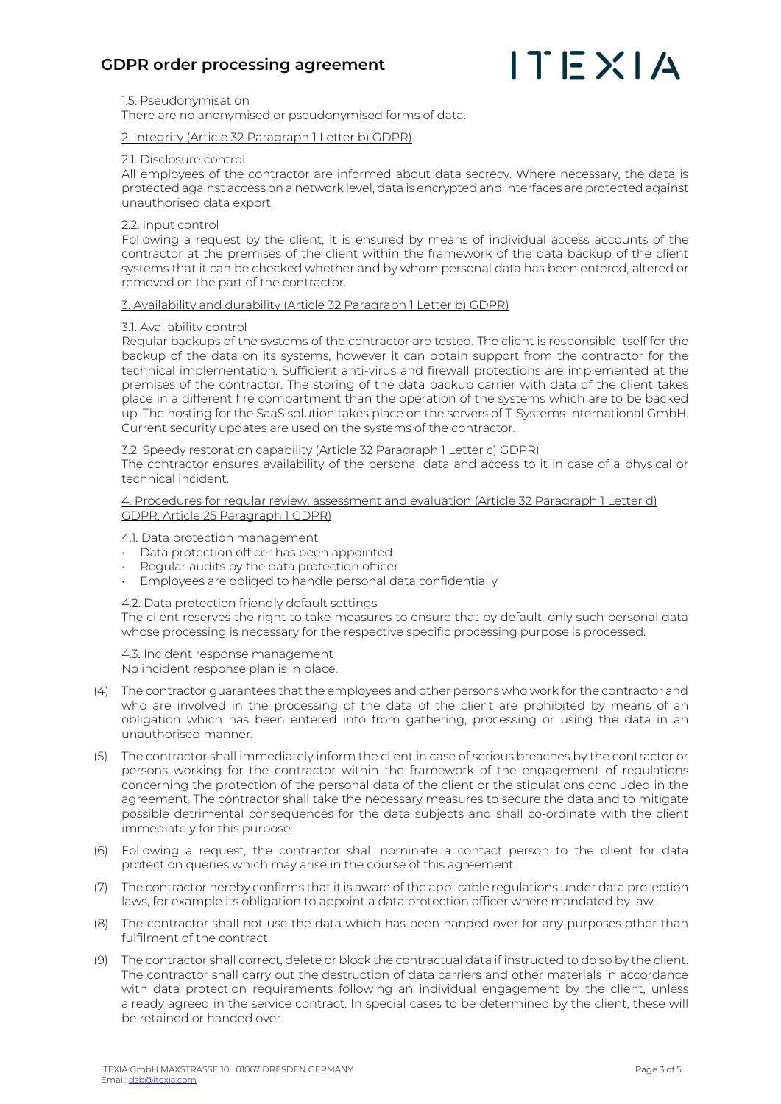

1.5. Pseudonymisation

There are no anonymised or pseudonymised forms of data.

2. Integrity (Article 32 Paragraph 1 Letter b) GDPR)

#### 2.1. Disclosure control

All employees of the contractor are informed about data secrecy. Where necessary, the data is protected against access on a network level, data is encrypted and interfaces are protected against unauthorised data export.

2.2. Input control

Following a request by the client, it is ensured by means of individual access accounts of the contractor at the premises of the client within the framework of the data backup of the client systems that it can be checked whether and by whom personal data has been entered, altered or removed on the part of the contractor.

#### 3. Availability and durability (Article 32 Paragraph 1 Letter b) GDPR)

## 3.1. Availability control

Regular backups of the systems of the contractor are tested. The client is responsible itself for the backup of the data on its systems, however it can obtain support from the contractor for the technical implementation. Sufficient anti-virus and firewall protections are implemented at the premises of the contractor. The storing of the data backup carrier with data of the client takes place in a different fire compartment than the operation of the systems which are to be backed up. The hosting for the SaaS solution takes place on the servers of T-Systems International GmbH. Current security updates are used on the systems of the contractor.

3.2. Speedy restoration capability (Article 32 Paragraph 1 Letter c) GDPR) The contractor ensures availability of the personal data and access to it in case of a physical or technical incident.

4. Procedures for regular review, assessment and evaluation (Article 32 Paragraph 1 Letter d) GDPR; Article 25 Paragraph 1 GDPR)

4.1. Data protection management

- Data protection officer has been appointed
- Regular audits by the data protection officer
- Employees are obliged to handle personal data confidentially

4.2. Data protection friendly default settings

The client reserves the right to take measures to ensure that by default, only such personal data whose processing is necessary for the respective specific processing purpose is processed.

4.3. Incident response management No incident response plan is in place.

- (4) The contractor guarantees that the employees and other persons who work for the contractor and who are involved in the processing of the data of the client are prohibited by means of an obligation which has been entered into from gathering, processing or using the data in an unauthorised manner.
- (5) The contractor shall immediately inform the client in case of serious breaches by the contractor or persons working for the contractor within the framework of the engagement of regulations concerning the protection of the personal data of the client or the stipulations concluded in the agreement. The contractor shall take the necessary measures to secure the data and to mitigate possible detrimental consequences for the data subjects and shall co-ordinate with the client immediately for this purpose.
- (6) Following a request, the contractor shall nominate a contact person to the client for data protection queries which may arise in the course of this agreement.
- (7) The contractor hereby confirms that it is aware of the applicable regulations under data protection laws, for example its obligation to appoint a data protection officer where mandated by law.
- (8) The contractor shall not use the data which has been handed over for any purposes other than fulfilment of the contract.
- (9) The contractor shall correct, delete or block the contractual data if instructed to do so by the client. The contractor shall carry out the destruction of data carriers and other materials in accordance with data protection requirements following an individual engagement by the client, unless already agreed in the service contract. In special cases to be determined by the client, these will be retained or handed over.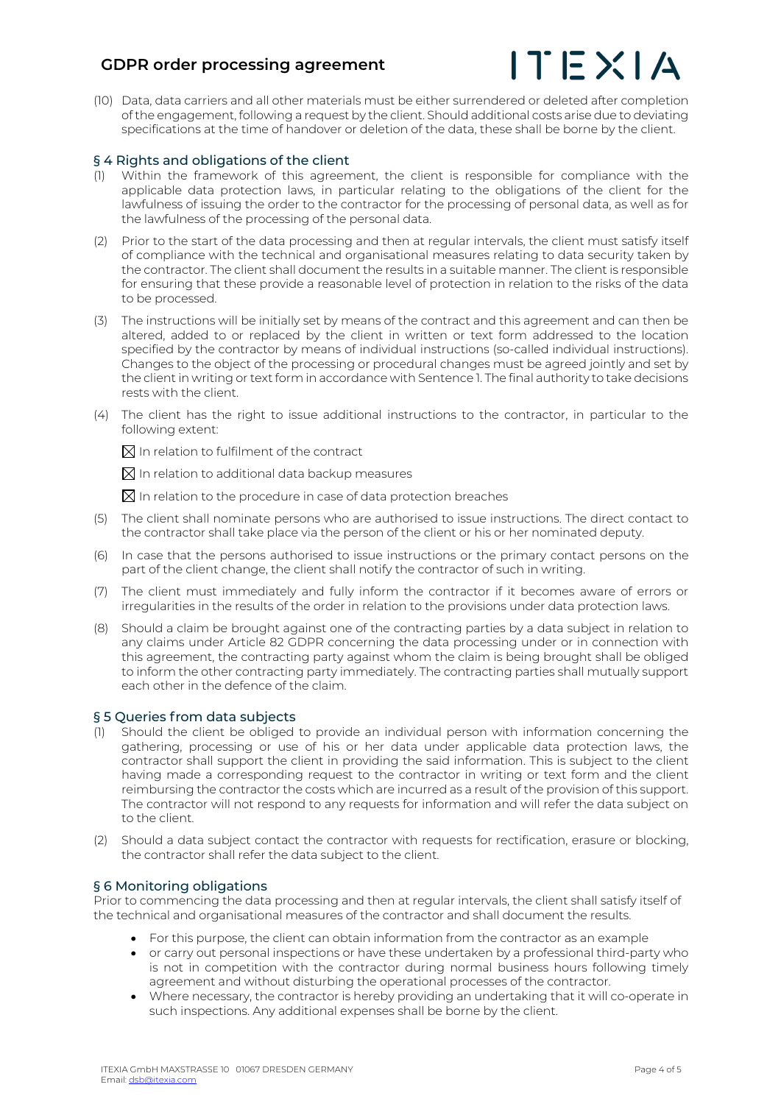# **GDPR order processing agreement**



(10) Data, data carriers and all other materials must be either surrendered or deleted after completion of the engagement, following a request by the client. Should additional costs arise due to deviating specifications at the time of handover or deletion of the data, these shall be borne by the client.

## § 4 Rights and obligations of the client

- (1) Within the framework of this agreement, the client is responsible for compliance with the applicable data protection laws, in particular relating to the obligations of the client for the lawfulness of issuing the order to the contractor for the processing of personal data, as well as for the lawfulness of the processing of the personal data.
- (2) Prior to the start of the data processing and then at regular intervals, the client must satisfy itself of compliance with the technical and organisational measures relating to data security taken by the contractor. The client shall document the results in a suitable manner. The client is responsible for ensuring that these provide a reasonable level of protection in relation to the risks of the data to be processed.
- (3) The instructions will be initially set by means of the contract and this agreement and can then be altered, added to or replaced by the client in written or text form addressed to the location specified by the contractor by means of individual instructions (so-called individual instructions). Changes to the object of the processing or procedural changes must be agreed jointly and set by the client in writing or text form in accordance with Sentence 1. The final authority to take decisions rests with the client.
- (4) The client has the right to issue additional instructions to the contractor, in particular to the following extent:

 $\boxtimes$  In relation to fulfilment of the contract

 $\boxtimes$  In relation to additional data backup measures

 $\boxtimes$  In relation to the procedure in case of data protection breaches

- (5) The client shall nominate persons who are authorised to issue instructions. The direct contact to the contractor shall take place via the person of the client or his or her nominated deputy.
- (6) In case that the persons authorised to issue instructions or the primary contact persons on the part of the client change, the client shall notify the contractor of such in writing.
- (7) The client must immediately and fully inform the contractor if it becomes aware of errors or irregularities in the results of the order in relation to the provisions under data protection laws.
- (8) Should a claim be brought against one of the contracting parties by a data subject in relation to any claims under Article 82 GDPR concerning the data processing under or in connection with this agreement, the contracting party against whom the claim is being brought shall be obliged to inform the other contracting party immediately. The contracting parties shall mutually support each other in the defence of the claim.

## § 5 Queries from data subjects

- (1) Should the client be obliged to provide an individual person with information concerning the gathering, processing or use of his or her data under applicable data protection laws, the contractor shall support the client in providing the said information. This is subject to the client having made a corresponding request to the contractor in writing or text form and the client reimbursing the contractor the costs which are incurred as a result of the provision of this support. The contractor will not respond to any requests for information and will refer the data subject on to the client.
- (2) Should a data subject contact the contractor with requests for rectification, erasure or blocking, the contractor shall refer the data subject to the client.

# § 6 Monitoring obligations

Prior to commencing the data processing and then at regular intervals, the client shall satisfy itself of the technical and organisational measures of the contractor and shall document the results.

- For this purpose, the client can obtain information from the contractor as an example
- or carry out personal inspections or have these undertaken by a professional third-party who is not in competition with the contractor during normal business hours following timely agreement and without disturbing the operational processes of the contractor.
- Where necessary, the contractor is hereby providing an undertaking that it will co-operate in such inspections. Any additional expenses shall be borne by the client.